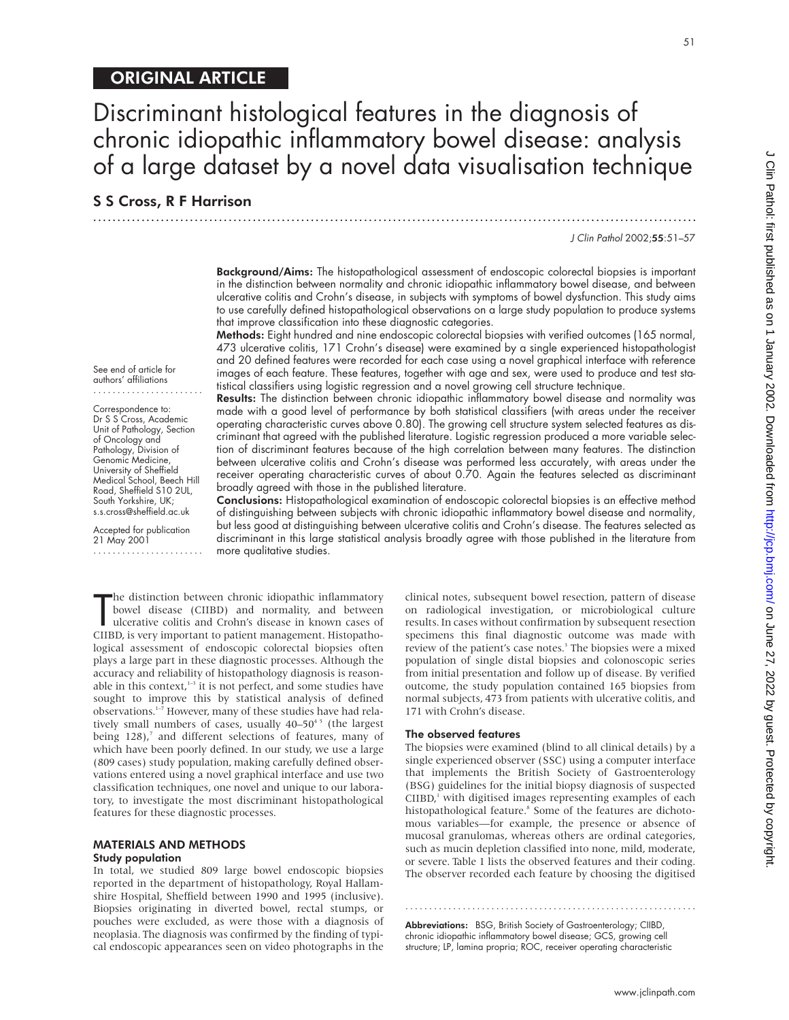Discriminant histological features in the diagnosis of chronic idiopathic inflammatory bowel disease: analysis of a large dataset by a novel data visualisation technique

.............................................................................................................................

# S S Cross, R F Harrison

See end of article for authors' affiliations ....................... Correspondence to: Dr S S Cross, Academic Unit of Pathology, Section of Oncology and Pathology, Division of Genomic Medicine, University of Sheffield Medical School, Beech Hill Road, Sheffield S10 2UL, South Yorkshire, UK; s.s.cross@sheffield.ac.uk Accepted for publication 21 May 2001

.......................

J Clin Pathol 2002;55:51–57

51

**Background/Aims:** The histopathological assessment of endoscopic colorectal biopsies is important in the distinction between normality and chronic idiopathic inflammatory bowel disease, and between ulcerative colitis and Crohn's disease, in subjects with symptoms of bowel dysfunction. This study aims to use carefully defined histopathological observations on a large study population to produce systems that improve classification into these diagnostic categories.

Methods: Eight hundred and nine endoscopic colorectal biopsies with verified outcomes (165 normal, 473 ulcerative colitis, 171 Crohn's disease) were examined by a single experienced histopathologist and 20 defined features were recorded for each case using a novel graphical interface with reference images of each feature. These features, together with age and sex, were used to produce and test statistical classifiers using logistic regression and a novel growing cell structure technique.

Results: The distinction between chronic idiopathic inflammatory bowel disease and normality was made with a good level of performance by both statistical classifiers (with areas under the receiver operating characteristic curves above 0.80). The growing cell structure system selected features as discriminant that agreed with the published literature. Logistic regression produced a more variable selection of discriminant features because of the high correlation between many features. The distinction between ulcerative colitis and Crohn's disease was performed less accurately, with areas under the receiver operating characteristic curves of about 0.70. Again the features selected as discriminant broadly agreed with those in the published literature.

Conclusions: Histopathological examination of endoscopic colorectal biopsies is an effective method of distinguishing between subjects with chronic idiopathic inflammatory bowel disease and normality, but less good at distinguishing between ulcerative colitis and Crohn's disease. The features selected as discriminant in this large statistical analysis broadly agree with those published in the literature from more qualitative studies.

The distinction between chronic idiopathic inflammatory<br>bowel disease (CIIBD) and normality, and between<br>ulcerative colitis and Crohn's disease in known cases of<br>CIIBD, is very important to patient management. Histopathohe distinction between chronic idiopathic inflammatory bowel disease (CIIBD) and normality, and between ulcerative colitis and Crohn's disease in known cases of logical assessment of endoscopic colorectal biopsies often plays a large part in these diagnostic processes. Although the accuracy and reliability of histopathology diagnosis is reasonable in this context, $1-3$  it is not perfect, and some studies have sought to improve this by statistical analysis of defined observations.1–7 However, many of these studies have had relatively small numbers of cases, usually  $40-50<sup>45</sup>$  (the largest being  $128$ ),<sup>7</sup> and different selections of features, many of which have been poorly defined. In our study, we use a large (809 cases) study population, making carefully defined observations entered using a novel graphical interface and use two classification techniques, one novel and unique to our laboratory, to investigate the most discriminant histopathological features for these diagnostic processes.

#### MATERIALS AND METHODS Study population

In total, we studied 809 large bowel endoscopic biopsies reported in the department of histopathology, Royal Hallamshire Hospital, Sheffield between 1990 and 1995 (inclusive). Biopsies originating in diverted bowel, rectal stumps, or pouches were excluded, as were those with a diagnosis of neoplasia. The diagnosis was confirmed by the finding of typical endoscopic appearances seen on video photographs in the

clinical notes, subsequent bowel resection, pattern of disease on radiological investigation, or microbiological culture results. In cases without confirmation by subsequent resection specimens this final diagnostic outcome was made with review of the patient's case notes.<sup>3</sup> The biopsies were a mixed population of single distal biopsies and colonoscopic series from initial presentation and follow up of disease. By verified outcome, the study population contained 165 biopsies from normal subjects, 473 from patients with ulcerative colitis, and 171 with Crohn's disease.

## The observed features

The biopsies were examined (blind to all clinical details) by a single experienced observer (SSC) using a computer interface that implements the British Society of Gastroenterology (BSG) guidelines for the initial biopsy diagnosis of suspected CIIBD,<sup>1</sup> with digitised images representing examples of each histopathological feature.<sup>8</sup> Some of the features are dichotomous variables—for example, the presence or absence of mucosal granulomas, whereas others are ordinal categories, such as mucin depletion classified into none, mild, moderate, or severe. Table 1 lists the observed features and their coding. The observer recorded each feature by choosing the digitised

Abbreviations: BSG, British Society of Gastroenterology; CIIBD, chronic idiopathic inflammatory bowel disease; GCS, growing cell structure; LP, lamina propria; ROC, receiver operating characteristic

.............................................................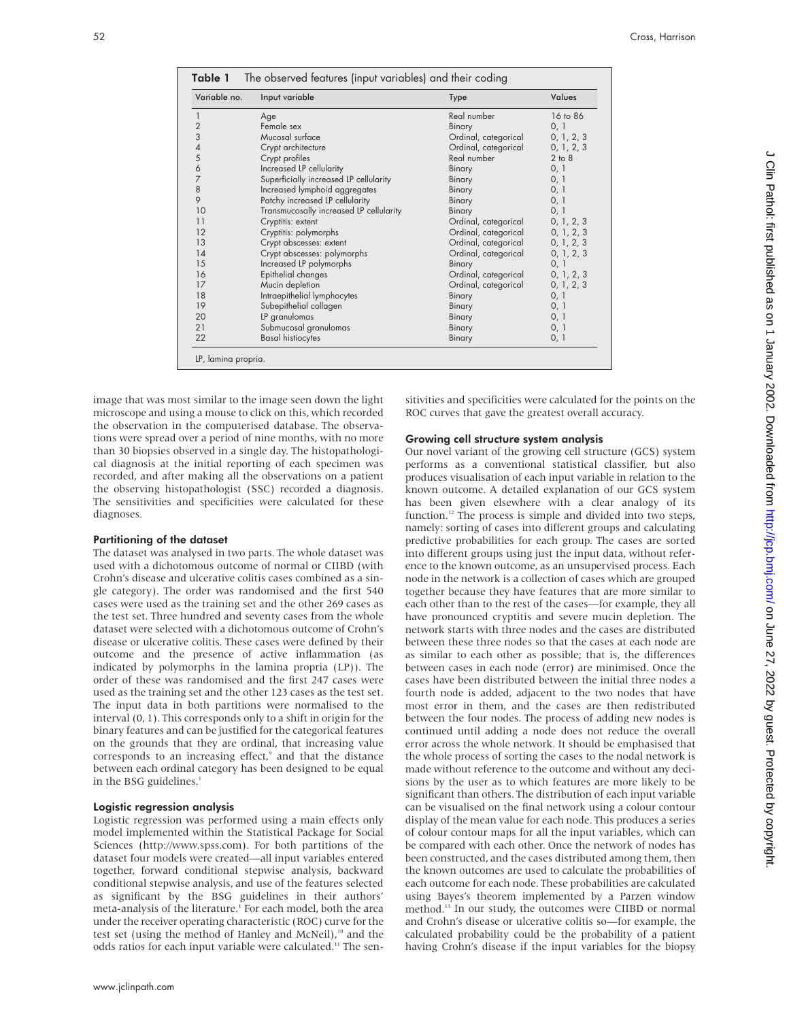| Variable no.             | Input variable                          | <b>Type</b>          | Values     |
|--------------------------|-----------------------------------------|----------------------|------------|
|                          | Age                                     | Real number          | 16 to 86   |
| $\frac{2}{3}$            | Female sex                              | Binary               | 0, 1       |
|                          | Mucosal surface                         | Ordinal, categorical | 0, 1, 2, 3 |
| $\overline{\mathcal{A}}$ | Crypt architecture                      | Ordinal, categorical | 0, 1, 2, 3 |
| 5                        | Crypt profiles                          | Real number          | 2 to 8     |
| 6                        | Increased LP cellularity                | Binary               | 0, 1       |
| 7                        | Superficially increased LP cellularity  | Binary               | 0, 1       |
| 8                        | Increased lymphoid aggregates           | Binary               | 0, 1       |
| 9                        | Patchy increased LP cellularity         | Binary               | 0, 1       |
| 10                       | Transmucosally increased LP cellularity | Binary               | 0, 1       |
| 11                       | Cryptitis: extent                       | Ordinal, categorical | 0, 1, 2, 3 |
| 12                       | Cryptitis: polymorphs                   | Ordinal, categorical | 0, 1, 2, 3 |
| 13                       | Crypt abscesses: extent                 | Ordinal, categorical | 0, 1, 2, 3 |
| 14                       | Crypt abscesses: polymorphs             | Ordinal, categorical | 0, 1, 2, 3 |
| 15                       | Increased LP polymorphs                 | Binary               | 0, 1       |
| 16                       | Epithelial changes                      | Ordinal, categorical | 0, 1, 2, 3 |
| 17                       | Mucin depletion                         | Ordinal, categorical | 0, 1, 2, 3 |
| 18                       | Intraepithelial lymphocytes             | Binary               | 0, 1       |
| 19                       | Subepithelial collagen                  | Binary               | 0, 1       |
| 20                       | LP granulomas                           | Binary               | 0, 1       |
| 21                       | Submucosal granulomas                   | Binary               | 0, 1       |
| 22                       | <b>Basal histiocytes</b>                | Binary               | 0, 1       |

image that was most similar to the image seen down the light microscope and using a mouse to click on this, which recorded the observation in the computerised database. The observations were spread over a period of nine months, with no more than 30 biopsies observed in a single day. The histopathological diagnosis at the initial reporting of each specimen was recorded, and after making all the observations on a patient the observing histopathologist (SSC) recorded a diagnosis. The sensitivities and specificities were calculated for these diagnoses.

#### Partitioning of the dataset

The dataset was analysed in two parts. The whole dataset was used with a dichotomous outcome of normal or CIIBD (with Crohn's disease and ulcerative colitis cases combined as a single category). The order was randomised and the first 540 cases were used as the training set and the other 269 cases as the test set. Three hundred and seventy cases from the whole dataset were selected with a dichotomous outcome of Crohn's disease or ulcerative colitis. These cases were defined by their outcome and the presence of active inflammation (as indicated by polymorphs in the lamina propria (LP)). The order of these was randomised and the first 247 cases were used as the training set and the other 123 cases as the test set. The input data in both partitions were normalised to the interval (0, 1). This corresponds only to a shift in origin for the binary features and can be justified for the categorical features on the grounds that they are ordinal, that increasing value corresponds to an increasing effect,<sup>9</sup> and that the distance between each ordinal category has been designed to be equal in the BSG guidelines.<sup>1</sup>

#### Logistic regression analysis

Logistic regression was performed using a main effects only model implemented within the Statistical Package for Social Sciences (http://www.spss.com). For both partitions of the dataset four models were created—all input variables entered together, forward conditional stepwise analysis, backward conditional stepwise analysis, and use of the features selected as significant by the BSG guidelines in their authors' meta-analysis of the literature.<sup>1</sup> For each model, both the area under the receiver operating characteristic (ROC) curve for the test set (using the method of Hanley and McNeil),<sup>10</sup> and the odds ratios for each input variable were calculated.<sup>11</sup> The sensitivities and specificities were calculated for the points on the ROC curves that gave the greatest overall accuracy.

#### Growing cell structure system analysis

Our novel variant of the growing cell structure (GCS) system performs as a conventional statistical classifier, but also produces visualisation of each input variable in relation to the known outcome. A detailed explanation of our GCS system has been given elsewhere with a clear analogy of its function.<sup>12</sup> The process is simple and divided into two steps, namely: sorting of cases into different groups and calculating predictive probabilities for each group. The cases are sorted into different groups using just the input data, without reference to the known outcome, as an unsupervised process. Each node in the network is a collection of cases which are grouped together because they have features that are more similar to each other than to the rest of the cases—for example, they all have pronounced cryptitis and severe mucin depletion. The network starts with three nodes and the cases are distributed between these three nodes so that the cases at each node are as similar to each other as possible; that is, the differences between cases in each node (error) are minimised. Once the cases have been distributed between the initial three nodes a fourth node is added, adjacent to the two nodes that have most error in them, and the cases are then redistributed between the four nodes. The process of adding new nodes is continued until adding a node does not reduce the overall error across the whole network. It should be emphasised that the whole process of sorting the cases to the nodal network is made without reference to the outcome and without any decisions by the user as to which features are more likely to be significant than others. The distribution of each input variable can be visualised on the final network using a colour contour display of the mean value for each node. This produces a series of colour contour maps for all the input variables, which can be compared with each other. Once the network of nodes has been constructed, and the cases distributed among them, then the known outcomes are used to calculate the probabilities of each outcome for each node. These probabilities are calculated using Bayes's theorem implemented by a Parzen window method.13 In our study, the outcomes were CIIBD or normal and Crohn's disease or ulcerative colitis so—for example, the calculated probability could be the probability of a patient having Crohn's disease if the input variables for the biopsy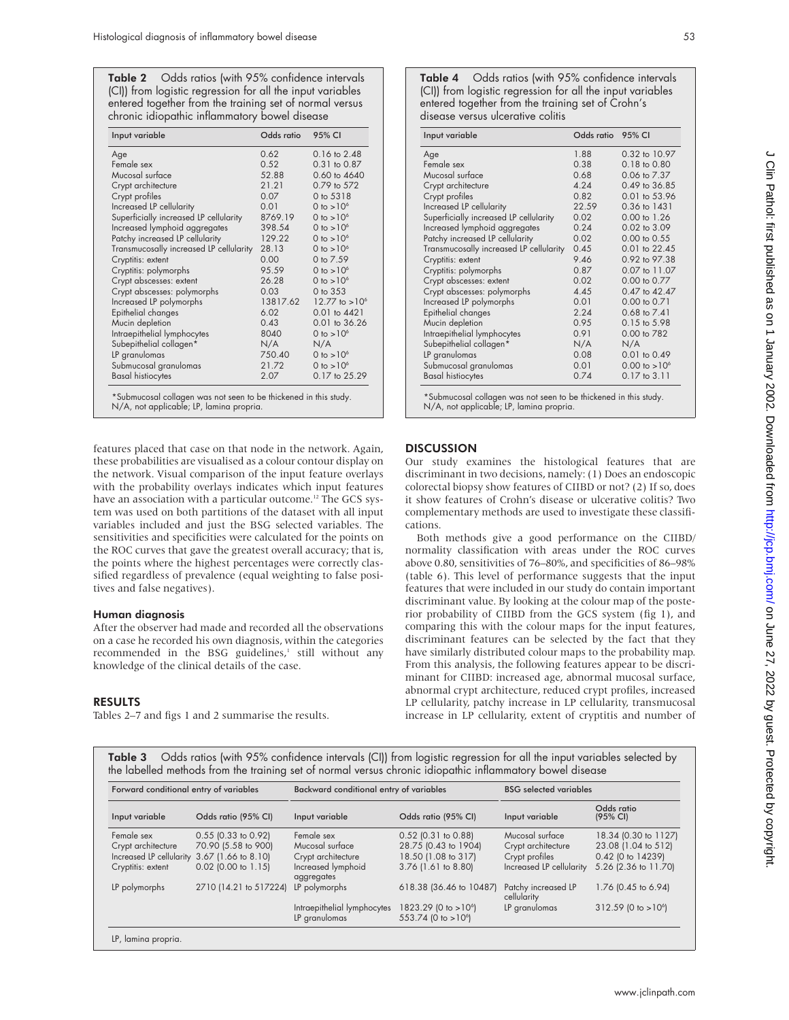Table 2 Odds ratios (with 95% confidence intervals (CI)) from logistic regression for all the input variables entered together from the training set of normal versus chronic idiopathic inflammatory bowel disease

| Input variable                          | Odds ratio | 95% CI           |
|-----------------------------------------|------------|------------------|
| Age                                     | 0.62       | 0.16 to 2.48     |
| Female sex                              | 0.52       | 0.31 to 0.87     |
| Mucosal surface                         | 52.88      | 0.60 to 4640     |
| Crypt architecture                      | 21.21      | 0.79 to 572      |
| Crypt profiles                          | 0.07       | 0 to 5318        |
| Increased LP cellularity                | 0.01       | 0 to $>10^6$     |
| Superficially increased LP cellularity  | 8769.19    | 0 to $>10^6$     |
| Increased lymphoid aggregates           | 398.54     | 0 to $>10^6$     |
| Patchy increased LP cellularity         | 129.22     | 0 to $>10^6$     |
| Transmucosally increased LP cellularity | 28.13      | 0 to $>10^6$     |
| Cryptitis: extent                       | 0.00       | 0 to 7.59        |
| Cryptitis: polymorphs                   | 95.59      | 0 to $>10^6$     |
| Crypt abscesses: extent                 | 26.28      | 0 to $>10^6$     |
| Crypt abscesses: polymorphs             | 0.03       | 0 to 353         |
| Increased LP polymorphs                 | 13817.62   | 12.77 to $>10^6$ |
| Epithelial changes                      | 6.02       | $0.01$ to $4421$ |
| Mucin depletion                         | 0.43       | 0.01 to 36.26    |
| Intraepithelial lymphocytes             | 8040       | 0 to $>10^6$     |
| Subepithelial collagen*                 | N/A        | N/A              |
| LP granulomas                           | 750.40     | 0 to $>10^6$     |
| Submucosal granulomas                   | 21.72      | 0 to $>10^6$     |
| <b>Basal histiocytes</b>                | 2.07       | 0.17 to 25.29    |

N/A, not applicable; LP, lamina propria.

features placed that case on that node in the network. Again, these probabilities are visualised as a colour contour display on the network. Visual comparison of the input feature overlays with the probability overlays indicates which input features have an association with a particular outcome.<sup>12</sup> The GCS system was used on both partitions of the dataset with all input variables included and just the BSG selected variables. The sensitivities and specificities were calculated for the points on the ROC curves that gave the greatest overall accuracy; that is, the points where the highest percentages were correctly classified regardless of prevalence (equal weighting to false positives and false negatives).

#### Human diagnosis

After the observer had made and recorded all the observations on a case he recorded his own diagnosis, within the categories recommended in the BSG guidelines,<sup>1</sup> still without any knowledge of the clinical details of the case.

## RESULTS

Tables 2–7 and figs 1 and 2 summarise the results.

| Input variable                          | Odds ratio 95% CI |                          |
|-----------------------------------------|-------------------|--------------------------|
| Age                                     | 1.88              | 0.32 to 10.97            |
| Female sex                              | 0.38              | $0.18$ to $0.80$         |
| Mucosal surface                         | 0.68              | 0.06 to 7.37             |
| Crypt architecture                      | 4.24              | 0.49 to 36.85            |
| Crypt profiles                          | 0.82              | 0.01 to 53.96            |
| Increased LP cellularity                | 22.59             | 0.36 to 1431             |
| Superficially increased LP cellularity  | 0.02              | $0.00 \text{ to } 1.26$  |
| Increased lymphoid aggregates           | 0.24              | 0.02 to 3.09             |
| Patchy increased LP cellularity         | 0.02              | $0.00$ to $0.55$         |
| Transmucosally increased LP cellularity | 0.45              | 0.01 to 22.45            |
| Cryptitis: extent                       | 9.46              | 0.92 to 97.38            |
| Cryptitis: polymorphs                   | 0.87              | 0.07 to 11.07            |
| Crypt abscesses: extent                 | 0.02              | 0.00 to 0.77             |
| Crypt abscesses: polymorphs             | 4.45              | 0.47 to 42.47            |
| Increased LP polymorphs                 | 0.01              | 0.00 to 0.71             |
| Epithelial changes                      | 2.24              | $0.68$ to $7.41$         |
| Mucin depletion                         | 0.95              | 0.15 to 5.98             |
| Intraepithelial lymphocytes             | 0.91              | 0.00 to 782              |
| Subepithelial collagen*                 | N/A               | N/A                      |
| LP granulomas                           | 0.08              | 0.01 to 0.49             |
| Submucosal granulomas                   | 0.01              | $0.00 \text{ to } >10^6$ |
| <b>Basal histiocytes</b>                | 0.74              | $0.17$ to $3.11$         |

\*Submucosal collagen was not seen to be thickened in this study. N/A, not applicable; LP, lamina propria.

# **DISCUSSION**

Our study examines the histological features that are discriminant in two decisions, namely: (1) Does an endoscopic colorectal biopsy show features of CIIBD or not? (2) If so, does it show features of Crohn's disease or ulcerative colitis? Two complementary methods are used to investigate these classifications.

Both methods give a good performance on the CIIBD/ normality classification with areas under the ROC curves above 0.80, sensitivities of 76–80%, and specificities of 86–98% (table 6). This level of performance suggests that the input features that were included in our study do contain important discriminant value. By looking at the colour map of the posterior probability of CIIBD from the GCS system (fig 1), and comparing this with the colour maps for the input features, discriminant features can be selected by the fact that they have similarly distributed colour maps to the probability map. From this analysis, the following features appear to be discriminant for CIIBD: increased age, abnormal mucosal surface, abnormal crypt architecture, reduced crypt profiles, increased LP cellularity, patchy increase in LP cellularity, transmucosal increase in LP cellularity, extent of cryptitis and number of

| Table 3 Odds ratios (with 95% confidence intervals (CI)) from logistic regression for all the input variables selected by |
|---------------------------------------------------------------------------------------------------------------------------|
| the labelled methods from the training set of normal versus chronic idiopathic inflammatory bowel disease                 |
|                                                                                                                           |

| Forward conditional entry of variables       |                        | Backward conditional entry of variables |                                  | <b>BSG</b> selected variables      |                          |
|----------------------------------------------|------------------------|-----------------------------------------|----------------------------------|------------------------------------|--------------------------|
| Input variable                               | Odds ratio (95% CI)    | Input variable                          | Odds ratio (95% CI)              | Input variable                     | Odds ratio<br>(95% CI)   |
| Female sex                                   | $0.55$ (0.33 to 0.92)  | Female sex                              | $0.52$ (0.31 to 0.88)            | Mucosal surface                    | 18.34 (0.30 to 1127)     |
| Crypt architecture                           | 70.90 (5.58 to 900)    | Mucosal surface                         | 28.75 (0.43 to 1904)             | Crypt architecture                 | 23.08 (1.04 to 512)      |
| Increased LP cellularity 3.67 (1.66 to 8.10) |                        | Crypt architecture                      | 18.50 (1.08 to 317)              | Crypt profiles                     | 0.42 (0 to 14239)        |
| Cryptitis: extent                            | $0.02$ (0.00 to 1.15)  | Increased lymphoid<br>aggregates        | 3.76 (1.61 to 8.80)              | Increased LP cellularity           | 5.26 (2.36 to 11.70)     |
| LP polymorphs                                | 2710 (14.21 to 517224) | LP polymorphs                           | 618.38 (36.46 to 10487)          | Patchy increased LP<br>cellularity | 1.76 (0.45 to 6.94)      |
|                                              |                        | Intraepithelial lymphocytes             | 1823.29 (0 to >10 <sup>6</sup> ) | LP granulomas                      | $312.59$ (0 to $>10^6$ ) |
|                                              |                        | LP granulomas                           | 553.74 (0 to $>10^{\circ}$ )     |                                    |                          |
| LP, lamina propria.                          |                        |                                         |                                  |                                    |                          |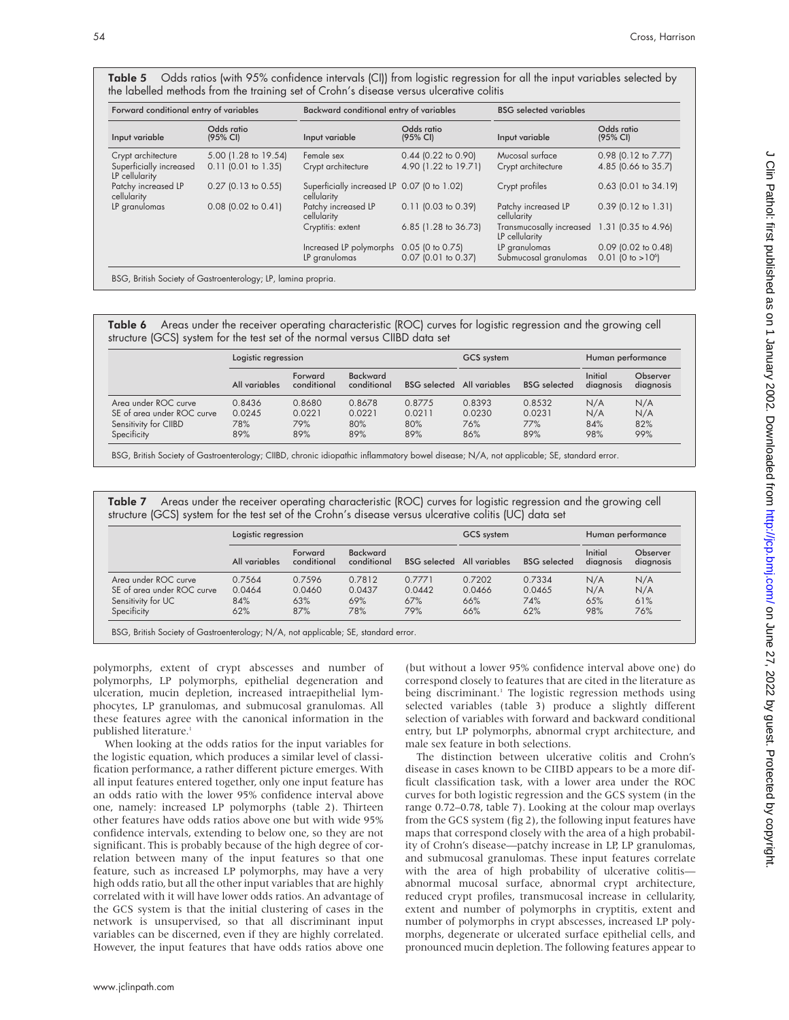| Forward conditional entry of variables    |                        | Backward conditional entry of variables                    |                        | <b>BSG</b> selected variables              |                                 |
|-------------------------------------------|------------------------|------------------------------------------------------------|------------------------|--------------------------------------------|---------------------------------|
| Input variable                            | Odds ratio<br>(95% CI) | Input variable                                             | Odds ratio<br>(95% CI) | Input variable                             | Odds ratio<br>(95% CI)          |
| Crypt architecture                        | 5.00 (1.28 to 19.54)   | Female sex                                                 | $0.44$ (0.22 to 0.90)  | Mucosal surface                            | 0.98 (0.12 to 7.77)             |
| Superficially increased<br>LP cellularity | $0.11$ (0.01 to 1.35)  | Crypt architecture                                         | 4.90 (1.22 to 19.71)   | Crypt architecture                         | 4.85 (0.66 to 35.7)             |
| Patchy increased LP<br>cellularity        | $0.27$ (0.13 to 0.55)  | Superficially increased LP 0.07 (0 to 1.02)<br>cellularity |                        | Crypt profiles                             | 0.63 (0.01 to 34.19)            |
| LP granulomas                             | $0.08$ (0.02 to 0.41)  | Patchy increased LP<br>cellularity                         | $0.11$ (0.03 to 0.39)  | Patchy increased LP<br>cellularity         | $0.39$ (0.12 to 1.31)           |
|                                           |                        | Cryptitis: extent                                          | 6.85 (1.28 to 36.73)   | Transmucosally increased<br>LP cellularity | 1.31 (0.35 to 4.96)             |
|                                           |                        | Increased LP polymorphs                                    | 0.05 (0 to 0.75)       | LP granulomas                              | $0.09$ (0.02 to 0.48)           |
|                                           |                        | LP granulomas                                              | 0.07 (0.01 to 0.37)    | Submucosal granulomas                      | $0.01$ (0 to >10 <sup>6</sup> ) |

Table 5 Odds ratios (with 95% confidence intervals (CI)) from logistic regression for all the input variables selected by the labelled methods from the training set of Crohn's disease versus ulcerative colitis

BSG, British Society of Gastroenterology; LP, lamina propria.

Table 6 Areas under the receiver operating characteristic (ROC) curves for logistic regression and the growing cell structure (GCS) system for the test set of the normal versus CIIBD data set

|                            | Logistic regression |                        |                                | GCS system                 |        | Human performance   |                      |                       |
|----------------------------|---------------------|------------------------|--------------------------------|----------------------------|--------|---------------------|----------------------|-----------------------|
|                            | All variables       | Forward<br>conditional | <b>Backward</b><br>conditional | BSG selected All variables |        | <b>BSG</b> selected | Initial<br>diagnosis | Observer<br>diagnosis |
| Area under ROC curve       | 0.8436              | 0.8680                 | 0.8678                         | 0.8775                     | 0.8393 | 0.8532              | N/A                  | N/A                   |
| SE of area under ROC curve | 0.0245              | 0.0221                 | 0.0221                         | 0.0211                     | 0.0230 | 0.0231              | N/A                  | N/A                   |
| Sensitivity for CIIBD      | 78%                 | 79%                    | 80%                            | 80%                        | 76%    | 77%                 | 84%                  | 82%                   |
| Specificity                | 89%                 | 89%                    | 89%                            | 89%                        | 86%    | 89%                 | 98%                  | 99%                   |

BSG, British Society of Gastroenterology; CIIBD, chronic idiopathic inflammatory bowel disease; N/A, not applicable; SE, standard error.

| Table 7 | Areas under the receiver operating characteristic (ROC) curves for logistic regression and the growing cell |  |
|---------|-------------------------------------------------------------------------------------------------------------|--|
|         | structure (GCS) system for the test set of the Crohn's disease versus ulcerative colitis (UC) data set      |  |

|                            | Logistic regression |                        |                                | GCS system                 |        | Human performance   |                      |                       |
|----------------------------|---------------------|------------------------|--------------------------------|----------------------------|--------|---------------------|----------------------|-----------------------|
|                            | All variables       | Forward<br>conditional | <b>Backward</b><br>conditional | BSG selected All variables |        | <b>BSG</b> selected | Initial<br>diagnosis | Observer<br>diagnosis |
| Area under ROC curve       | 0.7564              | 0.7596                 | 0.7812                         | 0.7771                     | 0.7202 | 0.7334              | N/A                  | N/A                   |
| SE of area under ROC curve | 0.0464              | 0.0460                 | 0.0437                         | 0.0442                     | 0.0466 | 0.0465              | N/A                  | N/A                   |
| Sensitivity for UC         | 84%                 | 63%                    | 69%                            | 67%                        | 66%    | 74%                 | 65%                  | 61%                   |
| Specificity                | 62%                 | 87%                    | 78%                            | 79%                        | 66%    | 62%                 | 98%                  | 76%                   |

BSG, British Society of Gastroenterology; N/A, not applicable; SE, standard error.

polymorphs, extent of crypt abscesses and number of polymorphs, LP polymorphs, epithelial degeneration and ulceration, mucin depletion, increased intraepithelial lymphocytes, LP granulomas, and submucosal granulomas. All these features agree with the canonical information in the published literature.<sup>1</sup>

When looking at the odds ratios for the input variables for the logistic equation, which produces a similar level of classification performance, a rather different picture emerges. With all input features entered together, only one input feature has an odds ratio with the lower 95% confidence interval above one, namely: increased LP polymorphs (table 2). Thirteen other features have odds ratios above one but with wide 95% confidence intervals, extending to below one, so they are not significant. This is probably because of the high degree of correlation between many of the input features so that one feature, such as increased LP polymorphs, may have a very high odds ratio, but all the other input variables that are highly correlated with it will have lower odds ratios. An advantage of the GCS system is that the initial clustering of cases in the network is unsupervised, so that all discriminant input variables can be discerned, even if they are highly correlated. However, the input features that have odds ratios above one

(but without a lower 95% confidence interval above one) do correspond closely to features that are cited in the literature as being discriminant.<sup>1</sup> The logistic regression methods using selected variables (table 3) produce a slightly different selection of variables with forward and backward conditional entry, but LP polymorphs, abnormal crypt architecture, and male sex feature in both selections.

The distinction between ulcerative colitis and Crohn's disease in cases known to be CIIBD appears to be a more difficult classification task, with a lower area under the ROC curves for both logistic regression and the GCS system (in the range 0.72–0.78, table 7). Looking at the colour map overlays from the GCS system (fig 2), the following input features have maps that correspond closely with the area of a high probability of Crohn's disease—patchy increase in LP, LP granulomas, and submucosal granulomas. These input features correlate with the area of high probability of ulcerative colitis abnormal mucosal surface, abnormal crypt architecture, reduced crypt profiles, transmucosal increase in cellularity, extent and number of polymorphs in cryptitis, extent and number of polymorphs in crypt abscesses, increased LP polymorphs, degenerate or ulcerated surface epithelial cells, and pronounced mucin depletion. The following features appear to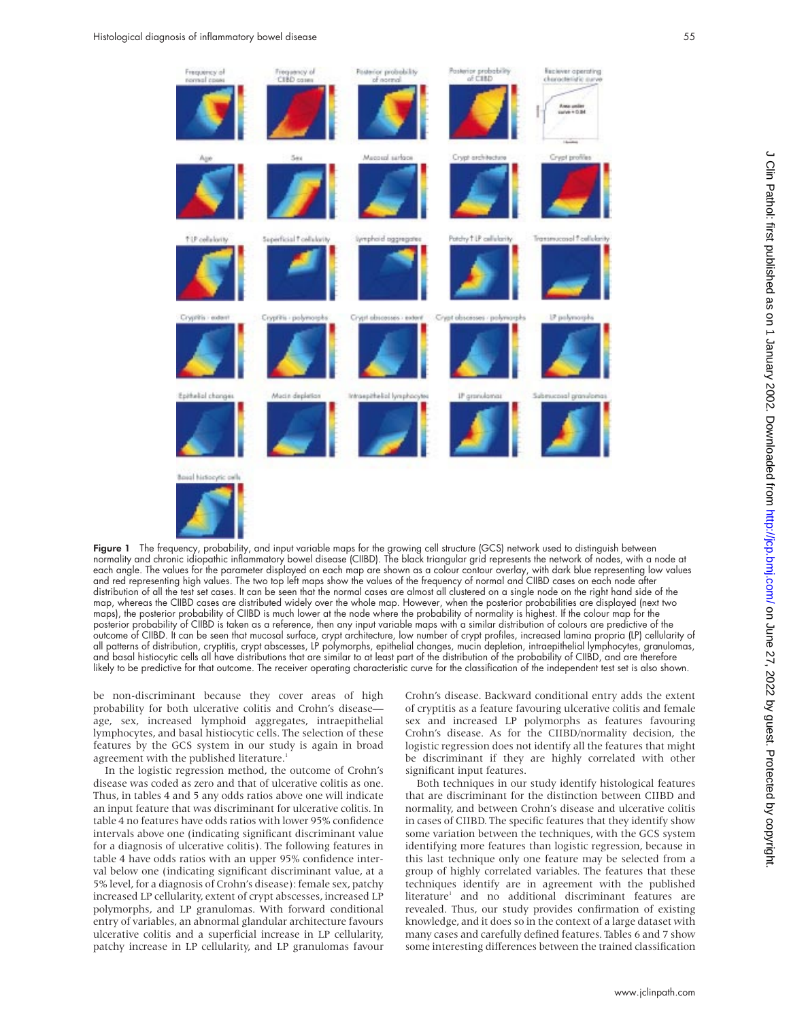

Figure 1 The frequency, probability, and input variable maps for the growing cell structure (GCS) network used to distinguish between normality and chronic idiopathic inflammatory bowel disease (CIIBD). The black triangular grid represents the network of nodes, with a node at each angle. The values for the parameter displayed on each map are shown as a colour contour overlay, with dark blue representing low values and red representing high values. The two top left maps show the values of the frequency of normal and CIIBD cases on each node after distribution of all the test set cases. It can be seen that the normal cases are almost all clustered on a single node on the right hand side of the map, whereas the CIIBD cases are distributed widely over the whole map. However, when the posterior probabilities are displayed (next two maps), the posterior probability of CIIBD is much lower at the node where the probability of normality is highest. If the colour map for the posterior probability of CIIBD is taken as a reference, then any input variable maps with a similar distribution of colours are predictive of the outcome of CIIBD. It can be seen that mucosal surface, crypt architecture, low number of crypt profiles, increased lamina propria (LP) cellularity of all patterns of distribution, cryptitis, crypt abscesses, LP polymorphs, epithelial changes, mucin depletion, intraepithelial lymphocytes, granulomas, and basal histiocytic cells all have distributions that are similar to at least part of the distribution of the probability of CIIBD, and are therefore likely to be predictive for that outcome. The receiver operating characteristic curve for the classification of the independent test set is also shown.

be non-discriminant because they cover areas of high probability for both ulcerative colitis and Crohn's disease age, sex, increased lymphoid aggregates, intraepithelial lymphocytes, and basal histiocytic cells. The selection of these features by the GCS system in our study is again in broad agreement with the published literature.<sup>1</sup>

In the logistic regression method, the outcome of Crohn's disease was coded as zero and that of ulcerative colitis as one. Thus, in tables 4 and 5 any odds ratios above one will indicate an input feature that was discriminant for ulcerative colitis. In table 4 no features have odds ratios with lower 95% confidence intervals above one (indicating significant discriminant value for a diagnosis of ulcerative colitis). The following features in table 4 have odds ratios with an upper 95% confidence interval below one (indicating significant discriminant value, at a 5% level, for a diagnosis of Crohn's disease): female sex, patchy increased LP cellularity, extent of crypt abscesses, increased LP polymorphs, and LP granulomas. With forward conditional entry of variables, an abnormal glandular architecture favours ulcerative colitis and a superficial increase in LP cellularity, patchy increase in LP cellularity, and LP granulomas favour

Crohn's disease. Backward conditional entry adds the extent of cryptitis as a feature favouring ulcerative colitis and female sex and increased LP polymorphs as features favouring Crohn's disease. As for the CIIBD/normality decision, the logistic regression does not identify all the features that might be discriminant if they are highly correlated with other significant input features.

Both techniques in our study identify histological features that are discriminant for the distinction between CIIBD and normality, and between Crohn's disease and ulcerative colitis in cases of CIIBD. The specific features that they identify show some variation between the techniques, with the GCS system identifying more features than logistic regression, because in this last technique only one feature may be selected from a group of highly correlated variables. The features that these techniques identify are in agreement with the published literature<sup>1</sup> and no additional discriminant features are revealed. Thus, our study provides confirmation of existing knowledge, and it does so in the context of a large dataset with many cases and carefully defined features. Tables 6 and 7 show some interesting differences between the trained classification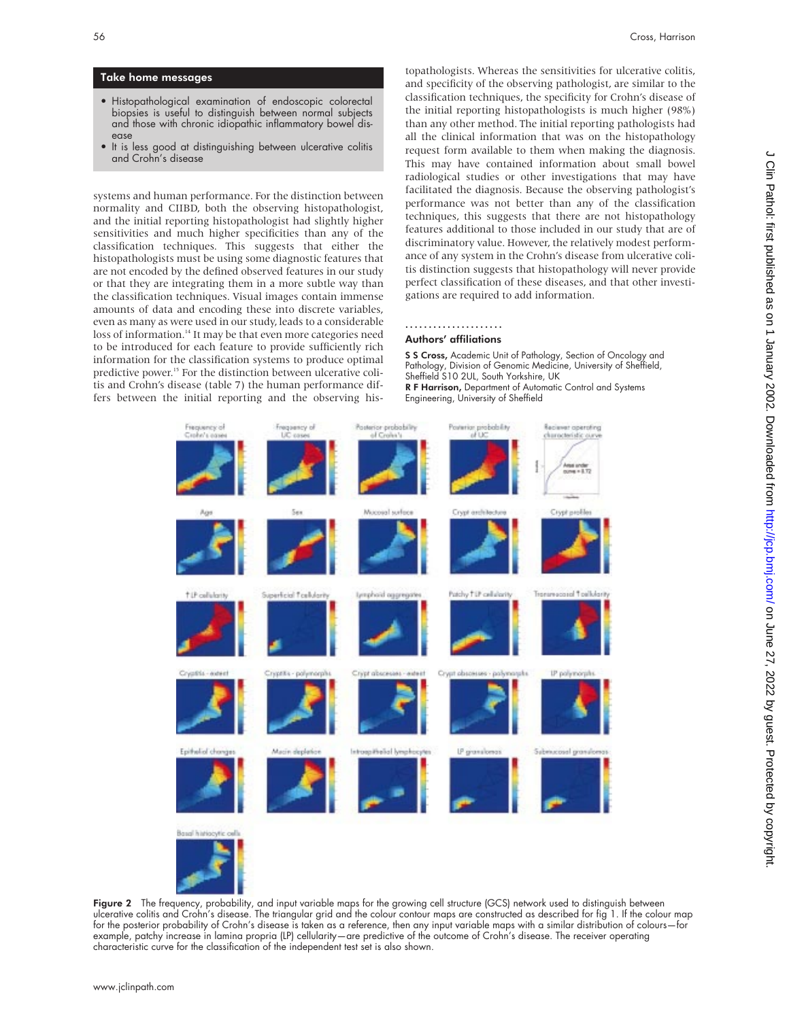# Take home messages

- Histopathological examination of endoscopic colorectal biopsies is useful to distinguish between normal subjects and those with chronic idiopathic inflammatory bowel disease
- It is less good at distinguishing between ulcerative colitis and Crohn's disease

systems and human performance. For the distinction between normality and CIIBD, both the observing histopathologist, and the initial reporting histopathologist had slightly higher sensitivities and much higher specificities than any of the classification techniques. This suggests that either the histopathologists must be using some diagnostic features that are not encoded by the defined observed features in our study or that they are integrating them in a more subtle way than the classification techniques. Visual images contain immense amounts of data and encoding these into discrete variables, even as many as were used in our study, leads to a considerable loss of information.<sup>14</sup> It may be that even more categories need to be introduced for each feature to provide sufficiently rich information for the classification systems to produce optimal predictive power.<sup>15</sup> For the distinction between ulcerative colitis and Crohn's disease (table 7) the human performance differs between the initial reporting and the observing histopathologists. Whereas the sensitivities for ulcerative colitis, and specificity of the observing pathologist, are similar to the classification techniques, the specificity for Crohn's disease of the initial reporting histopathologists is much higher (98%) than any other method. The initial reporting pathologists had all the clinical information that was on the histopathology request form available to them when making the diagnosis. This may have contained information about small bowel radiological studies or other investigations that may have facilitated the diagnosis. Because the observing pathologist's performance was not better than any of the classification techniques, this suggests that there are not histopathology features additional to those included in our study that are of discriminatory value. However, the relatively modest performance of any system in the Crohn's disease from ulcerative colitis distinction suggests that histopathology will never provide perfect classification of these diseases, and that other investigations are required to add information.

# .....................

# Authors' affiliations

S S Cross, Academic Unit of Pathology, Section of Oncology and Pathology, Division of Genomic Medicine, University of Sheffield, Sheffield S10 2UL, South Yorkshire, UK R F Harrison, Department of Automatic Control and Systems Engineering, University of Sheffield

Posteriar probability Pasterior probability cluracteristic curve Crypt in Macross Lucine Creek as **Lenphoid aggrega** Superficial Toolular Patchy T.IP cellulari IP granulo Submucosol gran

Figure 2 The frequency, probability, and input variable maps for the growing cell structure (GCS) network used to distinguish between ulcerative colitis and Crohn's disease. The triangular grid and the colour contour maps are constructed as described for fig 1. If the colour map for the posterior probability of Crohn's disease is taken as a reference, then any input variable maps with a similar distribution of colours—for example, patchy increase in lamina propria (LP) cellularity—are predictive of the outcome of Crohn's disease. The receiver operating characteristic curve for the classification of the independent test set is also shown.